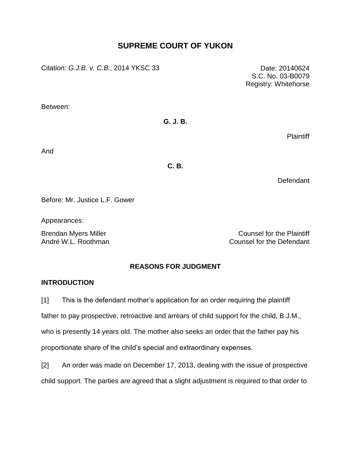# **SUPREME COURT OF YUKON**

Citation: *G.J.B*. *v. C.B.*, 2014 YKSC 33 Date: 20140624

S.C. No. 03-B0079 Registry: Whitehorse

Between:

# **G. J. B.**

**Plaintiff** 

And

## **C. B.**

Defendant

Before: Mr. Justice L.F. Gower

Appearances:

Brendan Myers Miller Counsel for the Plaintiff André W.L. Roothman Counsel for the Defendant

# **REASONS FOR JUDGMENT**

## **INTRODUCTION**

[1] This is the defendant mother's application for an order requiring the plaintiff

father to pay prospective, retroactive and arrears of child support for the child, B.J.M.,

who is presently 14 years old. The mother also seeks an order that the father pay his proportionate share of the child's special and extraordinary expenses.

[2] An order was made on December 17, 2013, dealing with the issue of prospective child support. The parties are agreed that a slight adjustment is required to that order to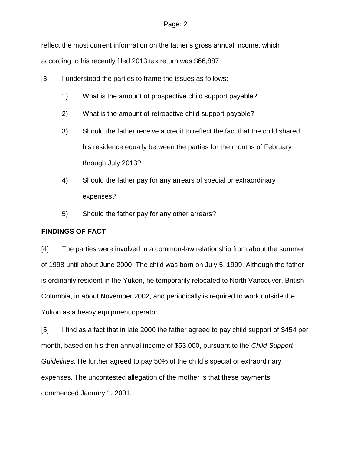reflect the most current information on the father's gross annual income, which according to his recently filed 2013 tax return was \$66,887.

- [3] I understood the parties to frame the issues as follows:
	- 1) What is the amount of prospective child support payable?
	- 2) What is the amount of retroactive child support payable?
	- 3) Should the father receive a credit to reflect the fact that the child shared his residence equally between the parties for the months of February through July 2013?
	- 4) Should the father pay for any arrears of special or extraordinary expenses?
	- 5) Should the father pay for any other arrears?

## **FINDINGS OF FACT**

[4] The parties were involved in a common-law relationship from about the summer of 1998 until about June 2000. The child was born on July 5, 1999. Although the father is ordinarily resident in the Yukon, he temporarily relocated to North Vancouver, British Columbia, in about November 2002, and periodically is required to work outside the Yukon as a heavy equipment operator.

[5] I find as a fact that in late 2000 the father agreed to pay child support of \$454 per month, based on his then annual income of \$53,000, pursuant to the *Child Support Guidelines*. He further agreed to pay 50% of the child's special or extraordinary expenses. The uncontested allegation of the mother is that these payments commenced January 1, 2001.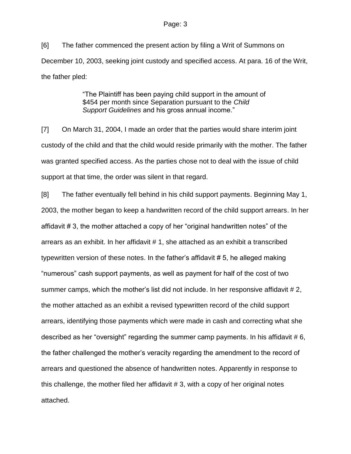[6] The father commenced the present action by filing a Writ of Summons on December 10, 2003, seeking joint custody and specified access. At para. 16 of the Writ, the father pled:

> "The Plaintiff has been paying child support in the amount of \$454 per month since Separation pursuant to the *Child Support Guidelines* and his gross annual income."

[7] On March 31, 2004, I made an order that the parties would share interim joint custody of the child and that the child would reside primarily with the mother. The father was granted specified access. As the parties chose not to deal with the issue of child support at that time, the order was silent in that regard.

[8] The father eventually fell behind in his child support payments. Beginning May 1, 2003, the mother began to keep a handwritten record of the child support arrears. In her affidavit # 3, the mother attached a copy of her "original handwritten notes" of the arrears as an exhibit. In her affidavit # 1, she attached as an exhibit a transcribed typewritten version of these notes. In the father's affidavit # 5, he alleged making "numerous" cash support payments, as well as payment for half of the cost of two summer camps, which the mother's list did not include. In her responsive affidavit #2, the mother attached as an exhibit a revised typewritten record of the child support arrears, identifying those payments which were made in cash and correcting what she described as her "oversight" regarding the summer camp payments. In his affidavit #6, the father challenged the mother's veracity regarding the amendment to the record of arrears and questioned the absence of handwritten notes. Apparently in response to this challenge, the mother filed her affidavit # 3, with a copy of her original notes attached.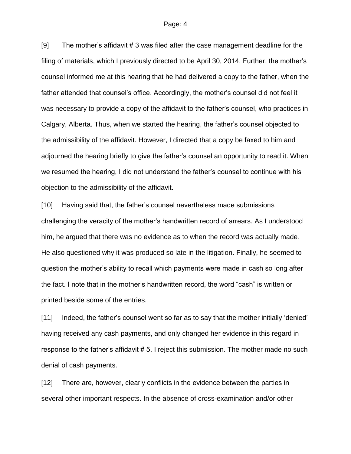[9] The mother's affidavit # 3 was filed after the case management deadline for the filing of materials, which I previously directed to be April 30, 2014. Further, the mother's counsel informed me at this hearing that he had delivered a copy to the father, when the father attended that counsel's office. Accordingly, the mother's counsel did not feel it was necessary to provide a copy of the affidavit to the father's counsel, who practices in Calgary, Alberta. Thus, when we started the hearing, the father's counsel objected to the admissibility of the affidavit. However, I directed that a copy be faxed to him and adjourned the hearing briefly to give the father's counsel an opportunity to read it. When we resumed the hearing, I did not understand the father's counsel to continue with his objection to the admissibility of the affidavit.

[10] Having said that, the father's counsel nevertheless made submissions challenging the veracity of the mother's handwritten record of arrears. As I understood him, he argued that there was no evidence as to when the record was actually made. He also questioned why it was produced so late in the litigation. Finally, he seemed to question the mother's ability to recall which payments were made in cash so long after the fact. I note that in the mother's handwritten record, the word "cash" is written or printed beside some of the entries.

[11] Indeed, the father's counsel went so far as to say that the mother initially 'denied' having received any cash payments, and only changed her evidence in this regard in response to the father's affidavit #5. I reject this submission. The mother made no such denial of cash payments.

[12] There are, however, clearly conflicts in the evidence between the parties in several other important respects. In the absence of cross-examination and/or other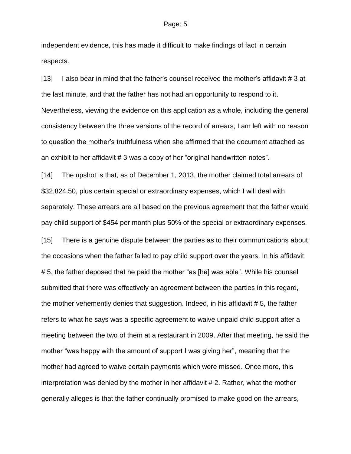independent evidence, this has made it difficult to make findings of fact in certain respects.

[13] I also bear in mind that the father's counsel received the mother's affidavit # 3 at the last minute, and that the father has not had an opportunity to respond to it. Nevertheless, viewing the evidence on this application as a whole, including the general consistency between the three versions of the record of arrears, I am left with no reason to question the mother's truthfulness when she affirmed that the document attached as an exhibit to her affidavit # 3 was a copy of her "original handwritten notes".

[14] The upshot is that, as of December 1, 2013, the mother claimed total arrears of \$32,824.50, plus certain special or extraordinary expenses, which I will deal with separately. These arrears are all based on the previous agreement that the father would pay child support of \$454 per month plus 50% of the special or extraordinary expenses.

[15] There is a genuine dispute between the parties as to their communications about the occasions when the father failed to pay child support over the years. In his affidavit # 5, the father deposed that he paid the mother "as [he] was able". While his counsel submitted that there was effectively an agreement between the parties in this regard, the mother vehemently denies that suggestion. Indeed, in his affidavit # 5, the father refers to what he says was a specific agreement to waive unpaid child support after a meeting between the two of them at a restaurant in 2009. After that meeting, he said the mother "was happy with the amount of support I was giving her", meaning that the mother had agreed to waive certain payments which were missed. Once more, this interpretation was denied by the mother in her affidavit # 2. Rather, what the mother generally alleges is that the father continually promised to make good on the arrears,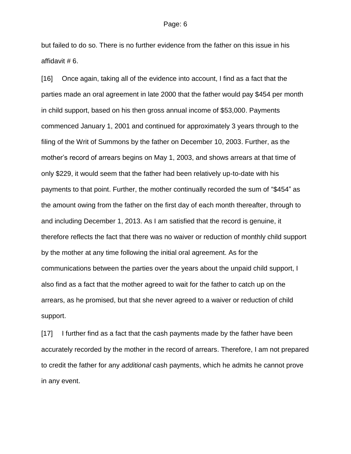but failed to do so. There is no further evidence from the father on this issue in his affidavit # 6.

[16] Once again, taking all of the evidence into account, I find as a fact that the parties made an oral agreement in late 2000 that the father would pay \$454 per month in child support, based on his then gross annual income of \$53,000. Payments commenced January 1, 2001 and continued for approximately 3 years through to the filing of the Writ of Summons by the father on December 10, 2003. Further, as the mother's record of arrears begins on May 1, 2003, and shows arrears at that time of only \$229, it would seem that the father had been relatively up-to-date with his payments to that point. Further, the mother continually recorded the sum of "\$454" as the amount owing from the father on the first day of each month thereafter, through to and including December 1, 2013. As I am satisfied that the record is genuine, it therefore reflects the fact that there was no waiver or reduction of monthly child support by the mother at any time following the initial oral agreement. As for the communications between the parties over the years about the unpaid child support, I also find as a fact that the mother agreed to wait for the father to catch up on the arrears, as he promised, but that she never agreed to a waiver or reduction of child support.

[17] I further find as a fact that the cash payments made by the father have been accurately recorded by the mother in the record of arrears. Therefore, I am not prepared to credit the father for any *additional* cash payments, which he admits he cannot prove in any event.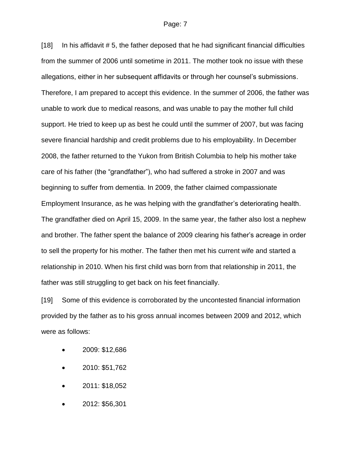[18] In his affidavit # 5, the father deposed that he had significant financial difficulties from the summer of 2006 until sometime in 2011. The mother took no issue with these allegations, either in her subsequent affidavits or through her counsel's submissions. Therefore, I am prepared to accept this evidence. In the summer of 2006, the father was unable to work due to medical reasons, and was unable to pay the mother full child support. He tried to keep up as best he could until the summer of 2007, but was facing severe financial hardship and credit problems due to his employability. In December 2008, the father returned to the Yukon from British Columbia to help his mother take care of his father (the "grandfather"), who had suffered a stroke in 2007 and was beginning to suffer from dementia. In 2009, the father claimed compassionate Employment Insurance, as he was helping with the grandfather's deteriorating health. The grandfather died on April 15, 2009. In the same year, the father also lost a nephew and brother. The father spent the balance of 2009 clearing his father's acreage in order to sell the property for his mother. The father then met his current wife and started a relationship in 2010. When his first child was born from that relationship in 2011, the father was still struggling to get back on his feet financially.

[19] Some of this evidence is corroborated by the uncontested financial information provided by the father as to his gross annual incomes between 2009 and 2012, which were as follows:

- 2009: \$12,686
- 2010: \$51,762
- 2011: \$18,052
- 2012: \$56,301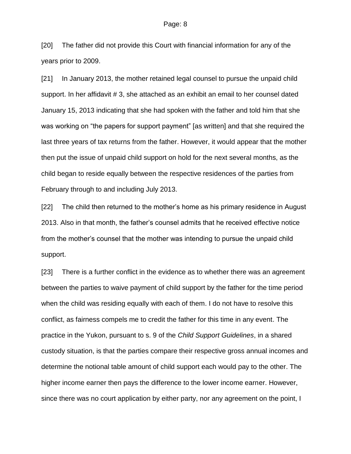[20] The father did not provide this Court with financial information for any of the years prior to 2009.

[21] In January 2013, the mother retained legal counsel to pursue the unpaid child support. In her affidavit # 3, she attached as an exhibit an email to her counsel dated January 15, 2013 indicating that she had spoken with the father and told him that she was working on "the papers for support payment" [as written] and that she required the last three years of tax returns from the father. However, it would appear that the mother then put the issue of unpaid child support on hold for the next several months, as the child began to reside equally between the respective residences of the parties from February through to and including July 2013.

[22] The child then returned to the mother's home as his primary residence in August 2013. Also in that month, the father's counsel admits that he received effective notice from the mother's counsel that the mother was intending to pursue the unpaid child support.

[23] There is a further conflict in the evidence as to whether there was an agreement between the parties to waive payment of child support by the father for the time period when the child was residing equally with each of them. I do not have to resolve this conflict, as fairness compels me to credit the father for this time in any event. The practice in the Yukon, pursuant to s. 9 of the *Child Support Guidelines*, in a shared custody situation, is that the parties compare their respective gross annual incomes and determine the notional table amount of child support each would pay to the other. The higher income earner then pays the difference to the lower income earner. However, since there was no court application by either party, nor any agreement on the point, I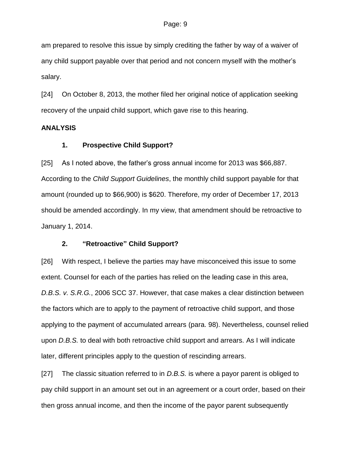am prepared to resolve this issue by simply crediting the father by way of a waiver of any child support payable over that period and not concern myself with the mother's salary.

[24] On October 8, 2013, the mother filed her original notice of application seeking recovery of the unpaid child support, which gave rise to this hearing.

### **ANALYSIS**

## **1. Prospective Child Support?**

[25] As I noted above, the father's gross annual income for 2013 was \$66,887. According to the *Child Support Guidelines*, the monthly child support payable for that amount (rounded up to \$66,900) is \$620. Therefore, my order of December 17, 2013 should be amended accordingly. In my view, that amendment should be retroactive to January 1, 2014.

## **2. "Retroactive" Child Support?**

[26] With respect, I believe the parties may have misconceived this issue to some extent. Counsel for each of the parties has relied on the leading case in this area, *D.B.S. v. S.R.G.*, 2006 SCC 37. However, that case makes a clear distinction between the factors which are to apply to the payment of retroactive child support, and those applying to the payment of accumulated arrears (para. 98). Nevertheless, counsel relied upon *D.B.S.* to deal with both retroactive child support and arrears. As I will indicate later, different principles apply to the question of rescinding arrears.

[27] The classic situation referred to in *D.B.S.* is where a payor parent is obliged to pay child support in an amount set out in an agreement or a court order, based on their then gross annual income, and then the income of the payor parent subsequently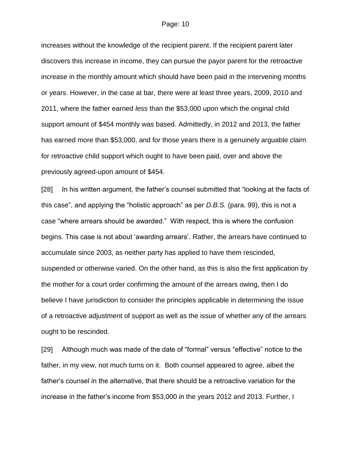increases without the knowledge of the recipient parent. If the recipient parent later discovers this increase in income, they can pursue the payor parent for the retroactive increase in the monthly amount which should have been paid in the intervening months or years. However, in the case at bar, there were at least three years, 2009, 2010 and 2011, where the father earned *less* than the \$53,000 upon which the original child support amount of \$454 monthly was based. Admittedly, in 2012 and 2013, the father has earned more than \$53,000, and for those years there is a genuinely arguable claim for retroactive child support which ought to have been paid, over and above the previously agreed-upon amount of \$454.

[28] In his written argument, the father's counsel submitted that "looking at the facts of this case", and applying the "holistic approach" as per *D.B.S.* (para. 99), this is not a case "where arrears should be awarded." With respect, this is where the confusion begins. This case is not about 'awarding arrears'. Rather, the arrears have continued to accumulate since 2003, as neither party has applied to have them rescinded, suspended or otherwise varied. On the other hand, as this is also the first application by the mother for a court order confirming the amount of the arrears owing, then I do believe I have jurisdiction to consider the principles applicable in determining the issue of a retroactive adjustment of support as well as the issue of whether any of the arrears ought to be rescinded.

[29] Although much was made of the date of "formal" versus "effective" notice to the father, in my view, not much turns on it. Both counsel appeared to agree, albeit the father's counsel in the alternative, that there should be a retroactive variation for the increase in the father's income from \$53,000 in the years 2012 and 2013. Further, I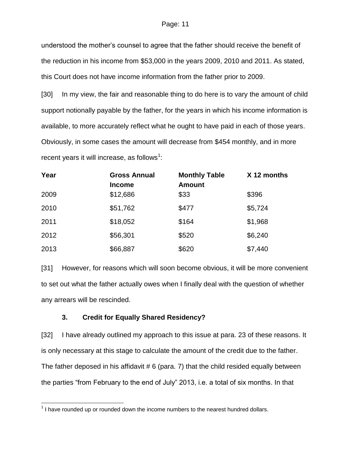understood the mother's counsel to agree that the father should receive the benefit of the reduction in his income from \$53,000 in the years 2009, 2010 and 2011. As stated, this Court does not have income information from the father prior to 2009.

[30] In my view, the fair and reasonable thing to do here is to vary the amount of child support notionally payable by the father, for the years in which his income information is available, to more accurately reflect what he ought to have paid in each of those years. Obviously, in some cases the amount will decrease from \$454 monthly, and in more recent years it will increase, as follows<sup>1</sup>:

| Year | <b>Gross Annual</b><br><b>Income</b> | <b>Monthly Table</b><br><b>Amount</b> | X 12 months |
|------|--------------------------------------|---------------------------------------|-------------|
| 2009 | \$12,686                             | \$33                                  | \$396       |
| 2010 | \$51,762                             | \$477                                 | \$5,724     |
| 2011 | \$18,052                             | \$164                                 | \$1,968     |
| 2012 | \$56,301                             | \$520                                 | \$6,240     |
| 2013 | \$66,887                             | \$620                                 | \$7,440     |

[31] However, for reasons which will soon become obvious, it will be more convenient to set out what the father actually owes when I finally deal with the question of whether any arrears will be rescinded.

## **3. Credit for Equally Shared Residency?**

 $\overline{a}$ 

[32] I have already outlined my approach to this issue at para. 23 of these reasons. It is only necessary at this stage to calculate the amount of the credit due to the father. The father deposed in his affidavit  $# 6$  (para. 7) that the child resided equally between the parties "from February to the end of July" 2013, i.e. a total of six months. In that

 $1$  I have rounded up or rounded down the income numbers to the nearest hundred dollars.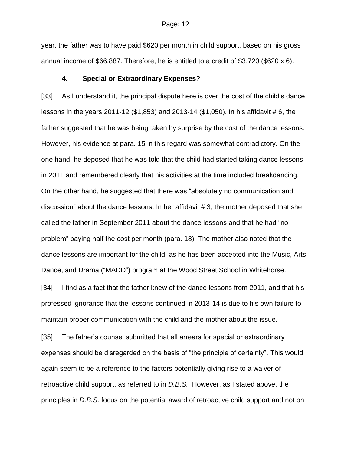year, the father was to have paid \$620 per month in child support, based on his gross annual income of \$66,887. Therefore, he is entitled to a credit of \$3,720 (\$620 x 6).

## **4. Special or Extraordinary Expenses?**

[33] As I understand it, the principal dispute here is over the cost of the child's dance lessons in the years 2011-12 (\$1,853) and 2013-14 (\$1,050). In his affidavit # 6, the father suggested that he was being taken by surprise by the cost of the dance lessons. However, his evidence at para. 15 in this regard was somewhat contradictory. On the one hand, he deposed that he was told that the child had started taking dance lessons in 2011 and remembered clearly that his activities at the time included breakdancing. On the other hand, he suggested that there was "absolutely no communication and discussion" about the dance lessons. In her affidavit # 3, the mother deposed that she called the father in September 2011 about the dance lessons and that he had "no problem" paying half the cost per month (para. 18). The mother also noted that the dance lessons are important for the child, as he has been accepted into the Music, Arts, Dance, and Drama ("MADD") program at the Wood Street School in Whitehorse.

[34] I find as a fact that the father knew of the dance lessons from 2011, and that his professed ignorance that the lessons continued in 2013-14 is due to his own failure to maintain proper communication with the child and the mother about the issue.

[35] The father's counsel submitted that all arrears for special or extraordinary expenses should be disregarded on the basis of "the principle of certainty". This would again seem to be a reference to the factors potentially giving rise to a waiver of retroactive child support, as referred to in *D.B.S.*. However, as I stated above, the principles in *D.B.S.* focus on the potential award of retroactive child support and not on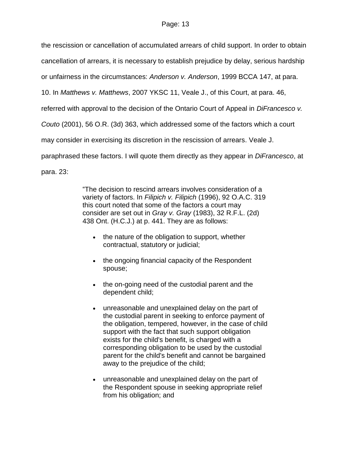the rescission or cancellation of accumulated arrears of child support. In order to obtain

cancellation of arrears, it is necessary to establish prejudice by delay, serious hardship

or unfairness in the circumstances: *Anderson v. Anderson*, 1999 BCCA 147, at para.

10. In *Matthews v. Matthews*, 2007 YKSC 11, Veale J., of this Court, at para. 46,

referred with approval to the decision of the Ontario Court of Appeal in *DiFrancesco v.* 

*Couto* (2001), 56 O.R. (3d) 363, which addressed some of the factors which a court

may consider in exercising its discretion in the rescission of arrears. Veale J.

paraphrased these factors. I will quote them directly as they appear in *DiFrancesco*, at

para. 23:

"The decision to rescind arrears involves consideration of a variety of factors. In *Filipich v. Filipich* [\(1996\), 92 O.A.C. 319](http://www.lexisnexis.com/ca/legal/search/runRemoteLink.do?A=0.1959411649683942&bct=A&service=citation&risb=21_T20077220155&langcountry=CA&linkInfo=F%23CA%23OAC%23vol%2592%25sel1%251996%25page%25319%25year%251996%25sel2%2592%25decisiondate%251996%25) this court noted that some of the factors a court may consider are set out in *Gray v. Gray* [\(1983\), 32 R.F.L. \(2d\)](http://www.lexisnexis.com/ca/legal/search/runRemoteLink.do?A=0.7875233122168989&bct=A&service=citation&risb=21_T20077220155&langcountry=CA&linkInfo=F%23CA%23RFL2%23vol%2532%25sel1%251983%25page%25438%25year%251983%25sel2%2532%25decisiondate%251983%25)  [438](http://www.lexisnexis.com/ca/legal/search/runRemoteLink.do?A=0.7875233122168989&bct=A&service=citation&risb=21_T20077220155&langcountry=CA&linkInfo=F%23CA%23RFL2%23vol%2532%25sel1%251983%25page%25438%25year%251983%25sel2%2532%25decisiondate%251983%25) Ont. (H.C.J.) at p. 441. They are as follows:

- the nature of the obligation to support, whether contractual, statutory or judicial;
- the ongoing financial capacity of the Respondent spouse;
- the on-going need of the custodial parent and the dependent child;
- unreasonable and unexplained delay on the part of the custodial parent in seeking to enforce payment of the obligation, tempered, however, in the case of child support with the fact that such support obligation exists for the child's benefit, is charged with a corresponding obligation to be used by the custodial parent for the child's benefit and cannot be bargained away to the prejudice of the child;
- unreasonable and unexplained delay on the part of the Respondent spouse in seeking appropriate relief from his obligation; and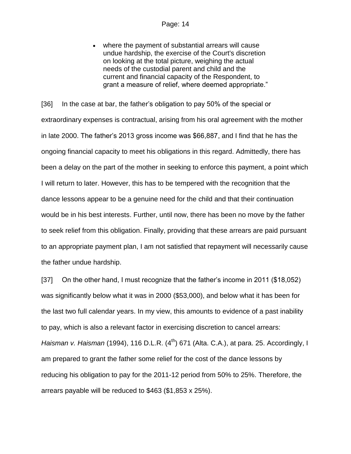where the payment of substantial arrears will cause undue hardship, the exercise of the Court's discretion on looking at the total picture, weighing the actual needs of the custodial parent and child and the current and financial capacity of the Respondent, to grant a measure of relief, where deemed appropriate."

[36] In the case at bar, the father's obligation to pay 50% of the special or extraordinary expenses is contractual, arising from his oral agreement with the mother in late 2000. The father's 2013 gross income was \$66,887, and I find that he has the ongoing financial capacity to meet his obligations in this regard. Admittedly, there has been a delay on the part of the mother in seeking to enforce this payment, a point which I will return to later. However, this has to be tempered with the recognition that the dance lessons appear to be a genuine need for the child and that their continuation would be in his best interests. Further, until now, there has been no move by the father to seek relief from this obligation. Finally, providing that these arrears are paid pursuant to an appropriate payment plan, I am not satisfied that repayment will necessarily cause the father undue hardship.

[37] On the other hand, I must recognize that the father's income in 2011 (\$18,052) was significantly below what it was in 2000 (\$53,000), and below what it has been for the last two full calendar years. In my view, this amounts to evidence of a past inability to pay, which is also a relevant factor in exercising discretion to cancel arrears: *Haisman v. Haisman* (1994), 116 D.L.R. (4<sup>th</sup>) 671 (Alta. C.A.), at para. 25. Accordingly, I am prepared to grant the father some relief for the cost of the dance lessons by reducing his obligation to pay for the 2011-12 period from 50% to 25%. Therefore, the arrears payable will be reduced to \$463 (\$1,853 x 25%).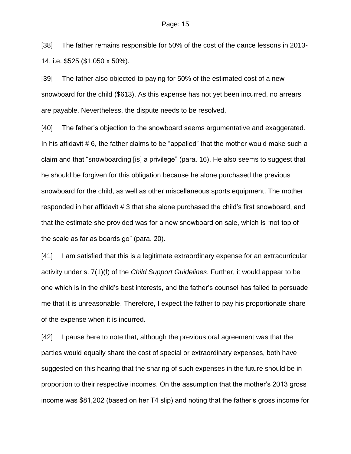[38] The father remains responsible for 50% of the cost of the dance lessons in 2013- 14, i.e. \$525 (\$1,050 x 50%).

[39] The father also objected to paying for 50% of the estimated cost of a new snowboard for the child (\$613). As this expense has not yet been incurred, no arrears are payable. Nevertheless, the dispute needs to be resolved.

[40] The father's objection to the snowboard seems argumentative and exaggerated. In his affidavit # 6, the father claims to be "appalled" that the mother would make such a claim and that "snowboarding [is] a privilege" (para. 16). He also seems to suggest that he should be forgiven for this obligation because he alone purchased the previous snowboard for the child, as well as other miscellaneous sports equipment. The mother responded in her affidavit # 3 that she alone purchased the child's first snowboard, and that the estimate she provided was for a new snowboard on sale, which is "not top of the scale as far as boards go" (para. 20).

[41] I am satisfied that this is a legitimate extraordinary expense for an extracurricular activity under s. 7(1)(f) of the *Child Support Guidelines*. Further, it would appear to be one which is in the child's best interests, and the father's counsel has failed to persuade me that it is unreasonable. Therefore, I expect the father to pay his proportionate share of the expense when it is incurred.

[42] I pause here to note that, although the previous oral agreement was that the parties would equally share the cost of special or extraordinary expenses, both have suggested on this hearing that the sharing of such expenses in the future should be in proportion to their respective incomes. On the assumption that the mother's 2013 gross income was \$81,202 (based on her T4 slip) and noting that the father's gross income for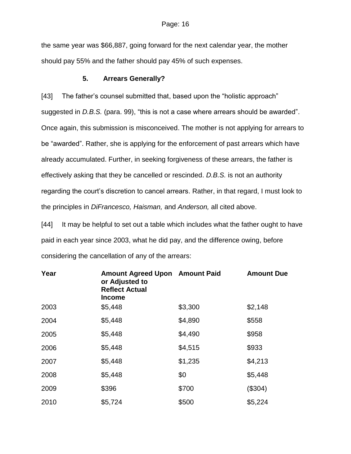the same year was \$66,887, going forward for the next calendar year, the mother should pay 55% and the father should pay 45% of such expenses.

### **5. Arrears Generally?**

[43] The father's counsel submitted that, based upon the "holistic approach" suggested in *D.B.S.* (para. 99), "this is not a case where arrears should be awarded". Once again, this submission is misconceived. The mother is not applying for arrears to be "awarded". Rather, she is applying for the enforcement of past arrears which have already accumulated. Further, in seeking forgiveness of these arrears, the father is effectively asking that they be cancelled or rescinded. *D.B.S.* is not an authority regarding the court's discretion to cancel arrears. Rather, in that regard, I must look to the principles in *DiFrancesco, Haisman,* and *Anderson,* all cited above.

[44] It may be helpful to set out a table which includes what the father ought to have paid in each year since 2003, what he did pay, and the difference owing, before considering the cancellation of any of the arrears:

| Year | <b>Amount Agreed Upon Amount Paid</b><br>or Adjusted to<br><b>Reflect Actual</b><br><b>Income</b> |         | <b>Amount Due</b> |
|------|---------------------------------------------------------------------------------------------------|---------|-------------------|
| 2003 | \$5,448                                                                                           | \$3,300 | \$2,148           |
| 2004 | \$5,448                                                                                           | \$4,890 | \$558             |
| 2005 | \$5,448                                                                                           | \$4,490 | \$958             |
| 2006 | \$5,448                                                                                           | \$4,515 | \$933             |
| 2007 | \$5,448                                                                                           | \$1,235 | \$4,213           |
| 2008 | \$5,448                                                                                           | \$0     | \$5,448           |
| 2009 | \$396                                                                                             | \$700   | (\$304)           |
| 2010 | \$5,724                                                                                           | \$500   | \$5,224           |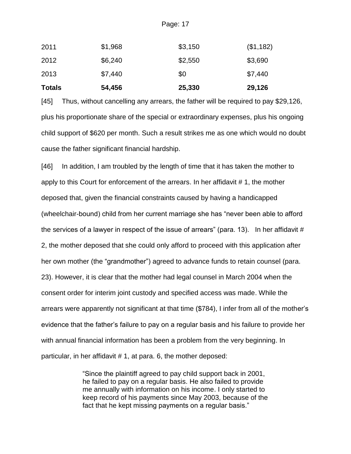| <b>Totals</b> | 54,456  | 25,330  | 29,126    |
|---------------|---------|---------|-----------|
| 2013          | \$7,440 | \$0     | \$7,440   |
| 2012          | \$6,240 | \$2,550 | \$3,690   |
| 2011          | \$1,968 | \$3,150 | (\$1,182) |

[45] Thus, without cancelling any arrears, the father will be required to pay \$29,126, plus his proportionate share of the special or extraordinary expenses, plus his ongoing child support of \$620 per month. Such a result strikes me as one which would no doubt cause the father significant financial hardship.

[46] In addition, I am troubled by the length of time that it has taken the mother to apply to this Court for enforcement of the arrears. In her affidavit # 1, the mother deposed that, given the financial constraints caused by having a handicapped (wheelchair-bound) child from her current marriage she has "never been able to afford the services of a lawyer in respect of the issue of arrears" (para. 13). In her affidavit  $#$ 2, the mother deposed that she could only afford to proceed with this application after her own mother (the "grandmother") agreed to advance funds to retain counsel (para. 23). However, it is clear that the mother had legal counsel in March 2004 when the consent order for interim joint custody and specified access was made. While the arrears were apparently not significant at that time (\$784), I infer from all of the mother's evidence that the father's failure to pay on a regular basis and his failure to provide her with annual financial information has been a problem from the very beginning. In particular, in her affidavit # 1, at para. 6, the mother deposed:

> "Since the plaintiff agreed to pay child support back in 2001, he failed to pay on a regular basis. He also failed to provide me annually with information on his income. I only started to keep record of his payments since May 2003, because of the fact that he kept missing payments on a regular basis."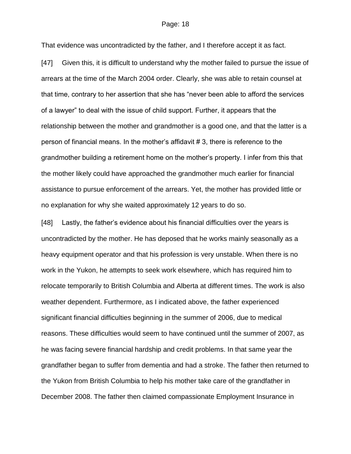That evidence was uncontradicted by the father, and I therefore accept it as fact.

[47] Given this, it is difficult to understand why the mother failed to pursue the issue of arrears at the time of the March 2004 order. Clearly, she was able to retain counsel at that time, contrary to her assertion that she has "never been able to afford the services of a lawyer" to deal with the issue of child support. Further, it appears that the relationship between the mother and grandmother is a good one, and that the latter is a person of financial means. In the mother's affidavit # 3, there is reference to the grandmother building a retirement home on the mother's property. I infer from this that the mother likely could have approached the grandmother much earlier for financial assistance to pursue enforcement of the arrears. Yet, the mother has provided little or no explanation for why she waited approximately 12 years to do so.

[48] Lastly, the father's evidence about his financial difficulties over the years is uncontradicted by the mother. He has deposed that he works mainly seasonally as a heavy equipment operator and that his profession is very unstable. When there is no work in the Yukon, he attempts to seek work elsewhere, which has required him to relocate temporarily to British Columbia and Alberta at different times. The work is also weather dependent. Furthermore, as I indicated above, the father experienced significant financial difficulties beginning in the summer of 2006, due to medical reasons. These difficulties would seem to have continued until the summer of 2007, as he was facing severe financial hardship and credit problems. In that same year the grandfather began to suffer from dementia and had a stroke. The father then returned to the Yukon from British Columbia to help his mother take care of the grandfather in December 2008. The father then claimed compassionate Employment Insurance in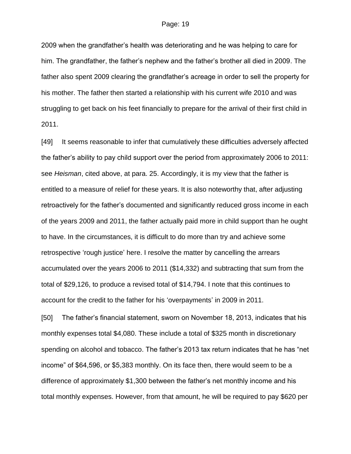2009 when the grandfather's health was deteriorating and he was helping to care for him. The grandfather, the father's nephew and the father's brother all died in 2009. The father also spent 2009 clearing the grandfather's acreage in order to sell the property for his mother. The father then started a relationship with his current wife 2010 and was struggling to get back on his feet financially to prepare for the arrival of their first child in 2011.

[49] It seems reasonable to infer that cumulatively these difficulties adversely affected the father's ability to pay child support over the period from approximately 2006 to 2011: see *Heisman*, cited above, at para. 25. Accordingly, it is my view that the father is entitled to a measure of relief for these years. It is also noteworthy that, after adjusting retroactively for the father's documented and significantly reduced gross income in each of the years 2009 and 2011, the father actually paid more in child support than he ought to have. In the circumstances, it is difficult to do more than try and achieve some retrospective 'rough justice' here. I resolve the matter by cancelling the arrears accumulated over the years 2006 to 2011 (\$14,332) and subtracting that sum from the total of \$29,126, to produce a revised total of \$14,794. I note that this continues to account for the credit to the father for his 'overpayments' in 2009 in 2011.

[50] The father's financial statement, sworn on November 18, 2013, indicates that his monthly expenses total \$4,080. These include a total of \$325 month in discretionary spending on alcohol and tobacco. The father's 2013 tax return indicates that he has "net income" of \$64,596, or \$5,383 monthly. On its face then, there would seem to be a difference of approximately \$1,300 between the father's net monthly income and his total monthly expenses. However, from that amount, he will be required to pay \$620 per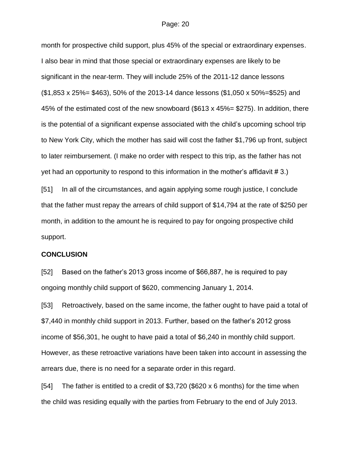month for prospective child support, plus 45% of the special or extraordinary expenses. I also bear in mind that those special or extraordinary expenses are likely to be significant in the near-term. They will include 25% of the 2011-12 dance lessons (\$1,853 x 25%= \$463), 50% of the 2013-14 dance lessons (\$1,050 x 50%=\$525) and 45% of the estimated cost of the new snowboard (\$613 x 45%= \$275). In addition, there is the potential of a significant expense associated with the child's upcoming school trip to New York City, which the mother has said will cost the father \$1,796 up front, subject to later reimbursement. (I make no order with respect to this trip, as the father has not yet had an opportunity to respond to this information in the mother's affidavit # 3.)

[51] In all of the circumstances, and again applying some rough justice, I conclude that the father must repay the arrears of child support of \$14,794 at the rate of \$250 per month, in addition to the amount he is required to pay for ongoing prospective child support.

### **CONCLUSION**

[52] Based on the father's 2013 gross income of \$66,887, he is required to pay ongoing monthly child support of \$620, commencing January 1, 2014.

[53] Retroactively, based on the same income, the father ought to have paid a total of \$7,440 in monthly child support in 2013. Further, based on the father's 2012 gross income of \$56,301, he ought to have paid a total of \$6,240 in monthly child support. However, as these retroactive variations have been taken into account in assessing the arrears due, there is no need for a separate order in this regard.

[54] The father is entitled to a credit of \$3,720 (\$620 x 6 months) for the time when the child was residing equally with the parties from February to the end of July 2013.